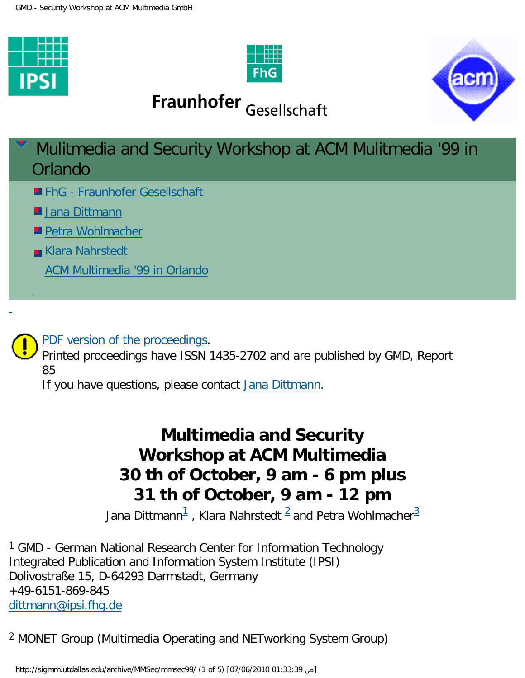





# Fraunhofer Gesellschaft





[PDF version of the proceedings](http://sigmm.utdallas.edu/archive/MMSec/mmsec99/GMD_report.pdf).

Printed proceedings have ISSN 1435-2702 and are published by GMD, Report 85

If you have questions, please contact [Jana Dittmann.](mailto:%20dittmann@ipsi.fhg.de)

# **Multimedia and Security Workshop at ACM Multimedia 30 th of October, 9 am - 6 pm plus 31 th of October, 9 am - 12 pm**

Jana Dittmann $^{\mathsf{1}}$  $^{\mathsf{1}}$  $^{\mathsf{1}}$  , Klara Nahrstedt  $^{\mathsf{2}}$  $^{\mathsf{2}}$  $^{\mathsf{2}}$  and Petra Wohlmacher $^{\mathsf{3}}$  $^{\mathsf{3}}$  $^{\mathsf{3}}$ 

<span id="page-0-0"></span><sup>1</sup> GMD - German National Research Center for Information Technology Integrated Publication and Information System Institute (IPSI) Dolivostraße 15, D-64293 Darmstadt, Germany +49-6151-869-845 [dittmann@ipsi.fhg.de](mailto:%20dittmann@ipsi.fhg.de? subject =)

<span id="page-0-1"></span>2 MONET Group (Multimedia Operating and NETworking System Group)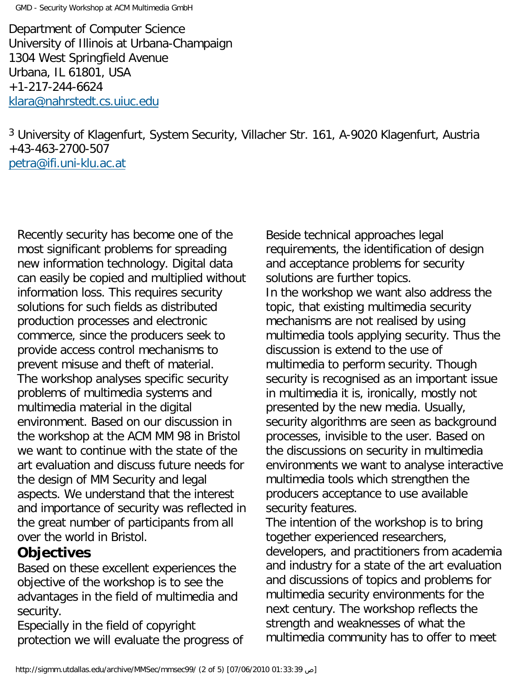GMD - Security Workshop at ACM Multimedia GmbH

Department of Computer Science University of Illinois at Urbana-Champaign 1304 West Springfield Avenue Urbana, IL 61801, USA +1-217-244-6624 [klara@nahrstedt.cs.uiuc.edu](mailto: klara@nahrstedt.cs.uiuc.edu)

<span id="page-1-0"></span>3 University of Klagenfurt, System Security, Villacher Str. 161, A-9020 Klagenfurt, Austria +43-463-2700-507 [petra@ifi.uni-klu.ac.at](mailto: petra@ifi.uni-klu.ac.at)

Recently security has become one of the most significant problems for spreading new information technology. Digital data can easily be copied and multiplied without information loss. This requires security solutions for such fields as distributed production processes and electronic commerce, since the producers seek to provide access control mechanisms to prevent misuse and theft of material. The workshop analyses specific security problems of multimedia systems and multimedia material in the digital environment. Based on our discussion in the workshop at the ACM MM 98 in Bristol we want to continue with the state of the art evaluation and discuss future needs for the design of MM Security and legal aspects. We understand that the interest and importance of security was reflected in the great number of participants from all over the world in Bristol.

#### **Objectives**

Based on these excellent experiences the objective of the workshop is to see the advantages in the field of multimedia and security.

Especially in the field of copyright protection we will evaluate the progress of Beside technical approaches legal requirements, the identification of design and acceptance problems for security solutions are further topics. In the workshop we want also address the topic, that existing multimedia security mechanisms are not realised by using multimedia tools applying security. Thus the discussion is extend to the use of multimedia to perform security. Though security is recognised as an important issue in multimedia it is, ironically, mostly not presented by the new media. Usually, security algorithms are seen as background processes, invisible to the user. Based on the discussions on security in multimedia environments we want to analyse interactive multimedia tools which strengthen the producers acceptance to use available security features.

The intention of the workshop is to bring together experienced researchers, developers, and practitioners from academia and industry for a state of the art evaluation and discussions of topics and problems for multimedia security environments for the next century. The workshop reflects the strength and weaknesses of what the multimedia community has to offer to meet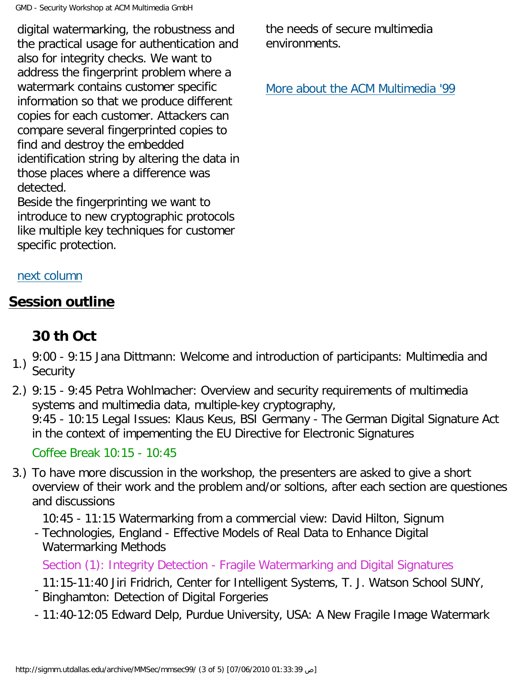GMD - Security Workshop at ACM Multimedia GmbH

digital watermarking, the robustness and the practical usage for authentication and also for integrity checks. We want to address the fingerprint problem where a watermark contains customer specific information so that we produce different copies for each customer. Attackers can compare several fingerprinted copies to find and destroy the embedded identification string by altering the data in those places where a difference was detected.

Beside the fingerprinting we want to introduce to new cryptographic protocols like multiple key techniques for customer specific protection.

the needs of secure multimedia environments.

[More about the ACM Multimedia '99](http://www.kom.e-technik.tu-darmstadt.de/acmmm99/index.html) 

#### [next column](#page-2-0)

### <span id="page-2-0"></span>**Session outline**

# **30 th Oct**

- 1.) 9:00 9:15 Jana Dittmann: Welcome and introduction of participants: Multimedia and **Security**
- 2.) 9:15 9:45 Petra Wohlmacher: Overview and security requirements of multimedia systems and multimedia data, multiple-key cryptography, 9:45 - 10:15 Legal Issues: Klaus Keus, BSI Germany - The German Digital Signature Act in the context of impementing the EU Directive for Electronic Signatures

Coffee Break 10:15 - 10:45

3.) To have more discussion in the workshop, the presenters are asked to give a short overview of their work and the problem and/or soltions, after each section are questiones and discussions

10:45 - 11:15 Watermarking from a commercial view: David Hilton, Signum

- Technologies, England - Effective Models of Real Data to Enhance Digital Watermarking Methods

Section (1): Integrity Detection - Fragile Watermarking and Digital Signatures

- 11:15-11:40 Jiri Fridrich, Center for Intelligent Systems, T. J. Watson School SUNY, Binghamton: Detection of Digital Forgeries
- 11:40-12:05 Edward Delp, Purdue University, USA: A New Fragile Image Watermark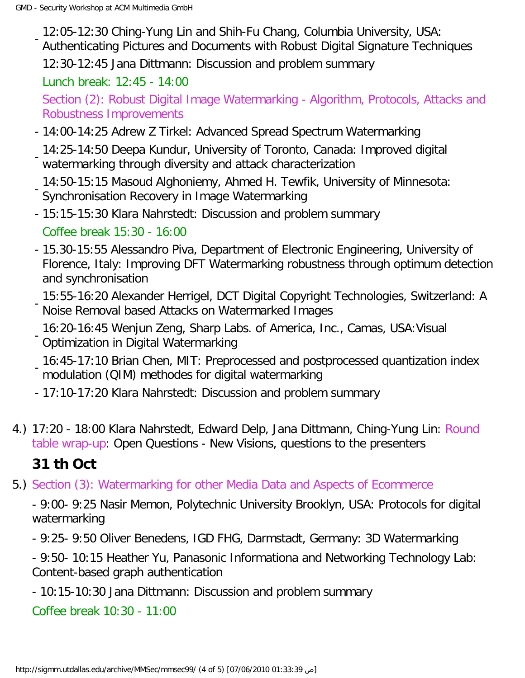- 12:05-12:30 Ching-Yung Lin and Shih-Fu Chang, Columbia University, USA: Authenticating Pictures and Documents with Robust Digital Signature Techniques 12:30-12:45 Jana Dittmann: Discussion and problem summary

Lunch break: 12:45 - 14:00

Section (2): Robust Digital Image Watermarking - Algorithm, Protocols, Attacks and Robustness Improvements

- 14:00-14:25 Adrew Z Tirkel: Advanced Spread Spectrum Watermarking

- 14:25-14:50 Deepa Kundur, University of Toronto, Canada: Improved digital watermarking through diversity and attack characterization

- 14:50-15:15 Masoud Alghoniemy, Ahmed H. Tewfik, University of Minnesota: Synchronisation Recovery in Image Watermarking
- 15:15-15:30 Klara Nahrstedt: Discussion and problem summary Coffee break 15:30 - 16:00
- 15.30-15:55 Alessandro Piva, Department of Electronic Engineering, University of Florence, Italy: Improving DFT Watermarking robustness through optimum detection and synchronisation
- 15:55-16:20 Alexander Herrigel, DCT Digital Copyright Technologies, Switzerland: A Noise Removal based Attacks on Watermarked Images
- 16:20-16:45 Wenjun Zeng, Sharp Labs. of America, Inc., Camas, USA:Visual Optimization in Digital Watermarking

- 16:45-17:10 Brian Chen, MIT: Preprocessed and postprocessed quantization index modulation (QIM) methodes for digital watermarking

- 17:10-17:20 Klara Nahrstedt: Discussion and problem summary
- 4.) 17:20 18:00 Klara Nahrstedt, Edward Delp, Jana Dittmann, Ching-Yung Lin: Round table wrap-up: Open Questions - New Visions, questions to the presenters

## **31 th Oct**

5.) Section (3): Watermarking for other Media Data and Aspects of Ecommerce

- 9:00- 9:25 Nasir Memon, Polytechnic University Brooklyn, USA: Protocols for digital watermarking

- 9:25- 9:50 Oliver Benedens, IGD FHG, Darmstadt, Germany: 3D Watermarking

- 9:50- 10:15 Heather Yu, Panasonic Informationa and Networking Technology Lab: Content-based graph authentication

- 10:15-10:30 Jana Dittmann: Discussion and problem summary

Coffee break 10:30 - 11:00